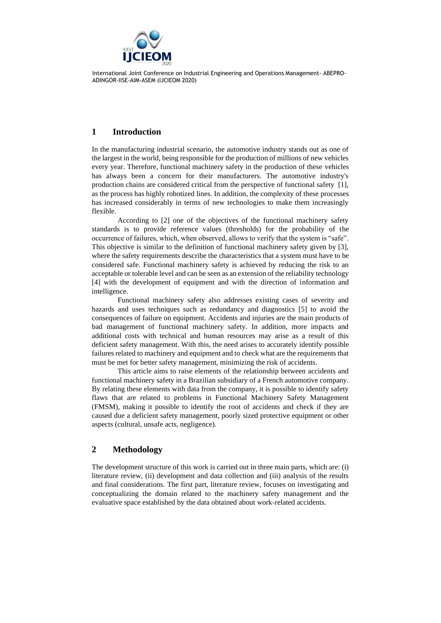

# **1 Introduction**

In the manufacturing industrial scenario, the automotive industry stands out as one of the largest in the world, being responsible for the production of millions of new vehicles every year. Therefore, functional machinery safety in the production of these vehicles has always been a concern for their manufacturers. The automotive industry's production chains are considered critical from the perspective of functional safety [1], as the process has highly robotized lines. In addition, the complexity of these processes has increased considerably in terms of new technologies to make them increasingly flexible.

According to [2] one of the objectives of the functional machinery safety standards is to provide reference values (thresholds) for the probability of the occurrence of failures, which, when observed, allows to verify that the system is "safe". This objective is similar to the definition of functional machinery safety given by [3], where the safety requirements describe the characteristics that a system must have to be considered safe. Functional machinery safety is achieved by reducing the risk to an acceptable or tolerable level and can be seen as an extension of the reliability technology [4] with the development of equipment and with the direction of information and intelligence.

Functional machinery safety also addresses existing cases of severity and hazards and uses techniques such as redundancy and diagnostics [5] to avoid the consequences of failure on equipment. Accidents and injuries are the main products of bad management of functional machinery safety. In addition, more impacts and additional costs with technical and human resources may arise as a result of this deficient safety management. With this, the need arises to accurately identify possible failures related to machinery and equipment and to check what are the requirements that must be met for better safety management, minimizing the risk of accidents.

This article aims to raise elements of the relationship between accidents and functional machinery safety in a Brazilian subsidiary of a French automotive company. By relating these elements with data from the company, it is possible to identify safety flaws that are related to problems in Functional Machinery Safety Management (FMSM), making it possible to identify the root of accidents and check if they are caused due a deficient safety management, poorly sized protective equipment or other aspects (cultural, unsafe acts, negligence).

# **2 Methodology**

The development structure of this work is carried out in three main parts, which are: (i) literature review, (ii) development and data collection and (iii) analysis of the results and final considerations. The first part, literature review, focuses on investigating and conceptualizing the domain related to the machinery safety management and the evaluative space established by the data obtained about work-related accidents.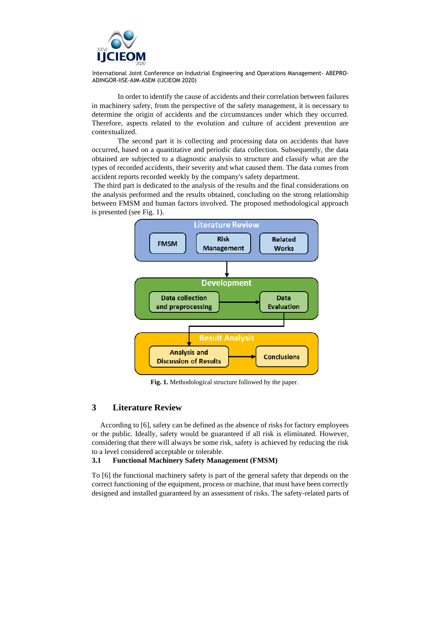

In order to identify the cause of accidents and their correlation between failures in machinery safety, from the perspective of the safety management, it is necessary to determine the origin of accidents and the circumstances under which they occurred. Therefore, aspects related to the evolution and culture of accident prevention are contextualized.

The second part it is collecting and processing data on accidents that have occurred, based on a quantitative and periodic data collection. Subsequently, the data obtained are subjected to a diagnostic analysis to structure and classify what are the types of recorded accidents, their severity and what caused them. The data comes from accident reports recorded weekly by the company's safety department.

The third part is dedicated to the analysis of the results and the final considerations on the analysis performed and the results obtained, concluding on the strong relationship between FMSM and human factors involved. The proposed methodological approach is presented (see Fig. 1).



**Fig. 1.** Methodological structure followed by the paper.

### **3 Literature Review**

According to [6], safety can be defined as the absence of risks for factory employees or the public. Ideally, safety would be guaranteed if all risk is eliminated. However, considering that there will always be some risk, safety is achieved by reducing the risk to a level considered acceptable or tolerable.

#### **3.1 Functional Machinery Safety Management (FMSM)**

To [6] the functional machinery safety is part of the general safety that depends on the correct functioning of the equipment, process or machine, that must have been correctly designed and installed guaranteed by an assessment of risks. The safety-related parts of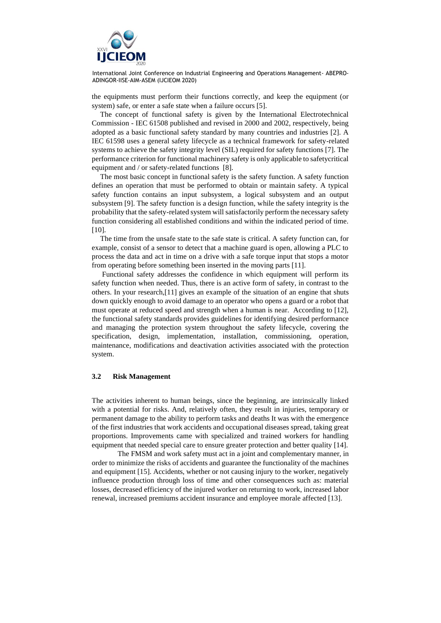

the equipments must perform their functions correctly, and keep the equipment (or system) safe, or enter a safe state when a failure occurs [5].

The concept of functional safety is given by the International Electrotechnical Commission - IEC 61508 published and revised in 2000 and 2002, respectively, being adopted as a basic functional safety standard by many countries and industries [2]. A IEC 61598 uses a general safety lifecycle as a technical framework for safety-related systems to achieve the safety integrity level (SIL) required for safety functions [7]. The performance criterion for functional machinery safety is only applicable to safetycritical equipment and / or safety-related functions [8].

The most basic concept in functional safety is the safety function. A safety function defines an operation that must be performed to obtain or maintain safety. A typical safety function contains an input subsystem, a logical subsystem and an output subsystem [9]. The safety function is a design function, while the safety integrity is the probability that the safety-related system will satisfactorily perform the necessary safety function considering all established conditions and within the indicated period of time.  $[10]$ .

The time from the unsafe state to the safe state is critical. A safety function can, for example, consist of a sensor to detect that a machine guard is open, allowing a PLC to process the data and act in time on a drive with a safe torque input that stops a motor from operating before something been inserted in the moving parts [11].

Functional safety addresses the confidence in which equipment will perform its safety function when needed. Thus, there is an active form of safety, in contrast to the others. In your research,[11] gives an example of the situation of an engine that shuts down quickly enough to avoid damage to an operator who opens a guard or a robot that must operate at reduced speed and strength when a human is near. According to [12], the functional safety standards provides guidelines for identifying desired performance and managing the protection system throughout the safety lifecycle, covering the specification, design, implementation, installation, commissioning, operation, maintenance, modifications and deactivation activities associated with the protection system.

### **3.2 Risk Management**

The activities inherent to human beings, since the beginning, are intrinsically linked with a potential for risks. And, relatively often, they result in injuries, temporary or permanent damage to the ability to perform tasks and deaths It was with the emergence of the first industries that work accidents and occupational diseases spread, taking great proportions. Improvements came with specialized and trained workers for handling equipment that needed special care to ensure greater protection and better quality [14].

The FMSM and work safety must act in a joint and complementary manner, in order to minimize the risks of accidents and guarantee the functionality of the machines and equipment [15]. Accidents, whether or not causing injury to the worker, negatively influence production through loss of time and other consequences such as: material losses, decreased efficiency of the injured worker on returning to work, increased labor renewal, increased premiums accident insurance and employee morale affected [13].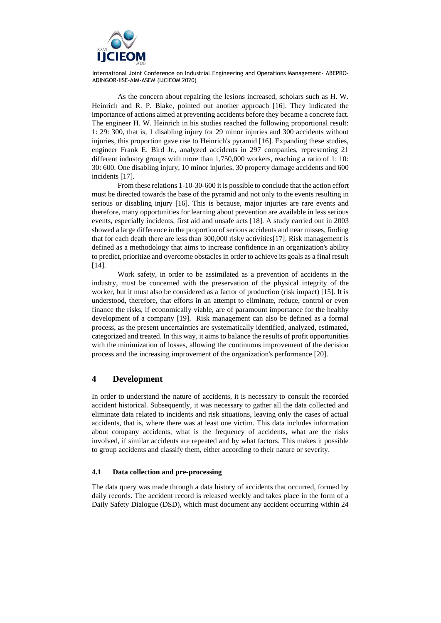

As the concern about repairing the lesions increased, scholars such as H. W. Heinrich and R. P. Blake, pointed out another approach [16]. They indicated the importance of actions aimed at preventing accidents before they became a concrete fact. The engineer H. W. Heinrich in his studies reached the following proportional result: 1: 29: 300, that is, 1 disabling injury for 29 minor injuries and 300 accidents without injuries, this proportion gave rise to Heinrich's pyramid [16]. Expanding these studies, engineer Frank E. Bird Jr., analyzed accidents in 297 companies, representing 21 different industry groups with more than 1,750,000 workers, reaching a ratio of 1: 10: 30: 600. One disabling injury, 10 minor injuries, 30 property damage accidents and 600 incidents [17].

From these relations 1-10-30-600 it is possible to conclude that the action effort must be directed towards the base of the pyramid and not only to the events resulting in serious or disabling injury [16]. This is because, major injuries are rare events and therefore, many opportunities for learning about prevention are available in less serious events, especially incidents, first aid and unsafe acts [18]. A study carried out in 2003 showed a large difference in the proportion of serious accidents and near misses, finding that for each death there are less than 300,000 risky activities[17]. Risk management is defined as a methodology that aims to increase confidence in an organization's ability to predict, prioritize and overcome obstacles in order to achieve its goals as a final result [14].

Work safety, in order to be assimilated as a prevention of accidents in the industry, must be concerned with the preservation of the physical integrity of the worker, but it must also be considered as a factor of production (risk impact) [15]. It is understood, therefore, that efforts in an attempt to eliminate, reduce, control or even finance the risks, if economically viable, are of paramount importance for the healthy development of a company [19]. Risk management can also be defined as a formal process, as the present uncertainties are systematically identified, analyzed, estimated, categorized and treated. In this way, it aims to balance the results of profit opportunities with the minimization of losses, allowing the continuous improvement of the decision process and the increasing improvement of the organization's performance [20].

### **4 Development**

In order to understand the nature of accidents, it is necessary to consult the recorded accident historical. Subsequently, it was necessary to gather all the data collected and eliminate data related to incidents and risk situations, leaving only the cases of actual accidents, that is, where there was at least one victim. This data includes information about company accidents, what is the frequency of accidents, what are the risks involved, if similar accidents are repeated and by what factors. This makes it possible to group accidents and classify them, either according to their nature or severity.

#### **4.1 Data collection and pre-processing**

The data query was made through a data history of accidents that occurred, formed by daily records. The accident record is released weekly and takes place in the form of a Daily Safety Dialogue (DSD), which must document any accident occurring within 24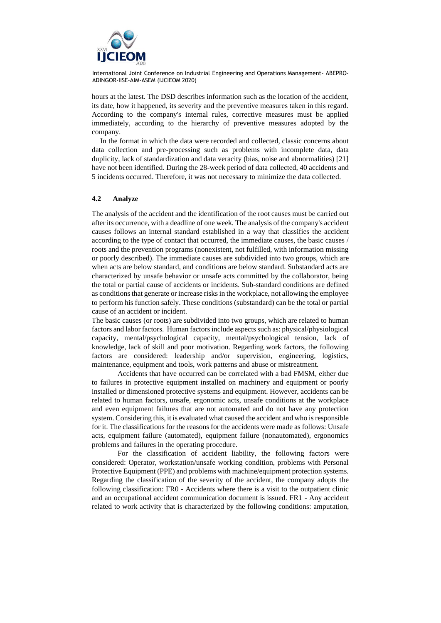

hours at the latest. The DSD describes information such as the location of the accident, its date, how it happened, its severity and the preventive measures taken in this regard. According to the company's internal rules, corrective measures must be applied immediately, according to the hierarchy of preventive measures adopted by the company.

In the format in which the data were recorded and collected, classic concerns about data collection and pre-processing such as problems with incomplete data, data duplicity, lack of standardization and data veracity (bias, noise and abnormalities) [21] have not been identified. During the 28-week period of data collected, 40 accidents and 5 incidents occurred. Therefore, it was not necessary to minimize the data collected.

#### **4.2 Analyze**

The analysis of the accident and the identification of the root causes must be carried out after its occurrence, with a deadline of one week. The analysis of the company's accident causes follows an internal standard established in a way that classifies the accident according to the type of contact that occurred, the immediate causes, the basic causes / roots and the prevention programs (nonexistent, not fulfilled, with information missing or poorly described). The immediate causes are subdivided into two groups, which are when acts are below standard, and conditions are below standard. Substandard acts are characterized by unsafe behavior or unsafe acts committed by the collaborator, being the total or partial cause of accidents or incidents. Sub-standard conditions are defined as conditions that generate or increase risks in the workplace, not allowing the employee to perform his function safely. These conditions (substandard) can be the total or partial cause of an accident or incident.

The basic causes (or roots) are subdivided into two groups, which are related to human factors and labor factors. Human factors include aspects such as: physical/physiological capacity, mental/psychological capacity, mental/psychological tension, lack of knowledge, lack of skill and poor motivation. Regarding work factors, the following factors are considered: leadership and/or supervision, engineering, logistics, maintenance, equipment and tools, work patterns and abuse or mistreatment.

Accidents that have occurred can be correlated with a bad FMSM, either due to failures in protective equipment installed on machinery and equipment or poorly installed or dimensioned protective systems and equipment. However, accidents can be related to human factors, unsafe, ergonomic acts, unsafe conditions at the workplace and even equipment failures that are not automated and do not have any protection system. Considering this, it is evaluated what caused the accident and who is responsible for it. The classifications for the reasons for the accidents were made as follows: Unsafe acts, equipment failure (automated), equipment failure (nonautomated), ergonomics problems and failures in the operating procedure.

For the classification of accident liability, the following factors were considered: Operator, workstation/unsafe working condition, problems with Personal Protective Equipment (PPE) and problems with machine/equipment protection systems. Regarding the classification of the severity of the accident, the company adopts the following classification: FR0 - Accidents where there is a visit to the outpatient clinic and an occupational accident communication document is issued. FR1 - Any accident related to work activity that is characterized by the following conditions: amputation,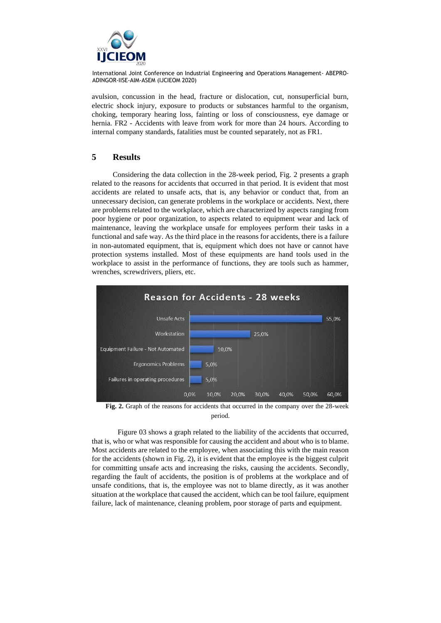

avulsion, concussion in the head, fracture or dislocation, cut, nonsuperficial burn, electric shock injury, exposure to products or substances harmful to the organism, choking, temporary hearing loss, fainting or loss of consciousness, eye damage or hernia. FR2 - Accidents with leave from work for more than 24 hours. According to internal company standards, fatalities must be counted separately, not as FR1.

## **5 Results**

Considering the data collection in the 28-week period, Fig. 2 presents a graph related to the reasons for accidents that occurred in that period. It is evident that most accidents are related to unsafe acts, that is, any behavior or conduct that, from an unnecessary decision, can generate problems in the workplace or accidents. Next, there are problems related to the workplace, which are characterized by aspects ranging from poor hygiene or poor organization, to aspects related to equipment wear and lack of maintenance, leaving the workplace unsafe for employees perform their tasks in a functional and safe way. As the third place in the reasons for accidents, there is a failure in non-automated equipment, that is, equipment which does not have or cannot have protection systems installed. Most of these equipments are hand tools used in the workplace to assist in the performance of functions, they are tools such as hammer, wrenches, screwdrivers, pliers, etc.



**Fig. 2.** Graph of the reasons for accidents that occurred in the company over the 28-week period.

Figure 03 shows a graph related to the liability of the accidents that occurred, that is, who or what was responsible for causing the accident and about who is to blame. Most accidents are related to the employee, when associating this with the main reason for the accidents (shown in Fig. 2), it is evident that the employee is the biggest culprit for committing unsafe acts and increasing the risks, causing the accidents. Secondly, regarding the fault of accidents, the position is of problems at the workplace and of unsafe conditions, that is, the employee was not to blame directly, as it was another situation at the workplace that caused the accident, which can be tool failure, equipment failure, lack of maintenance, cleaning problem, poor storage of parts and equipment.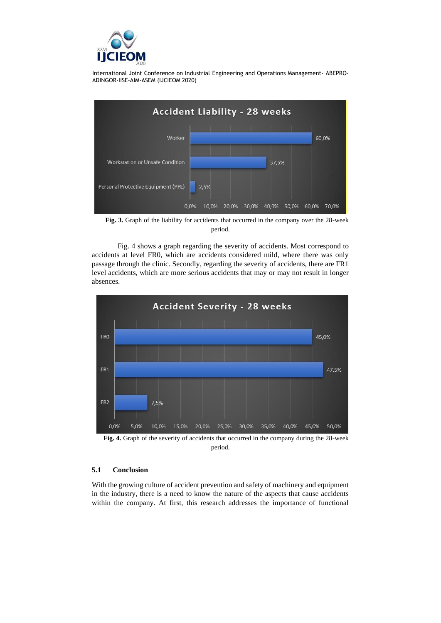



**Fig. 3.** Graph of the liability for accidents that occurred in the company over the 28-week period.

Fig. 4 shows a graph regarding the severity of accidents. Most correspond to accidents at level FR0, which are accidents considered mild, where there was only passage through the clinic. Secondly, regarding the severity of accidents, there are FR1 level accidents, which are more serious accidents that may or may not result in longer absences.



**Fig. 4.** Graph of the severity of accidents that occurred in the company during the 28-week period.

### **5.1 Conclusion**

With the growing culture of accident prevention and safety of machinery and equipment in the industry, there is a need to know the nature of the aspects that cause accidents within the company. At first, this research addresses the importance of functional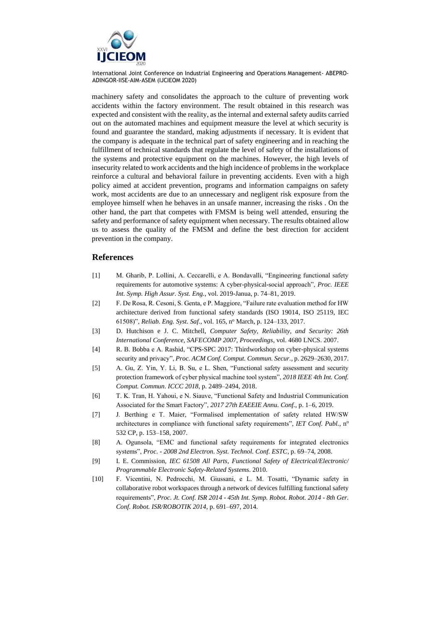

machinery safety and consolidates the approach to the culture of preventing work accidents within the factory environment. The result obtained in this research was expected and consistent with the reality, as the internal and external safety audits carried out on the automated machines and equipment measure the level at which security is found and guarantee the standard, making adjustments if necessary. It is evident that the company is adequate in the technical part of safety engineering and in reaching the fulfillment of technical standards that regulate the level of safety of the installations of the systems and protective equipment on the machines. However, the high levels of insecurity related to work accidents and the high incidence of problems in the workplace reinforce a cultural and behavioral failure in preventing accidents. Even with a high policy aimed at accident prevention, programs and information campaigns on safety work, most accidents are due to an unnecessary and negligent risk exposure from the employee himself when he behaves in an unsafe manner, increasing the risks . On the other hand, the part that competes with FMSM is being well attended, ensuring the safety and performance of safety equipment when necessary. The results obtained allow us to assess the quality of the FMSM and define the best direction for accident prevention in the company.

## **References**

- [1] M. Gharib, P. Lollini, A. Ceccarelli, e A. Bondavalli, "Engineering functional safety requirements for automotive systems: A cyber-physical-social approach", *Proc. IEEE Int. Symp. High Assur. Syst. Eng.*, vol. 2019-Janua, p. 74–81, 2019.
- [2] F. De Rosa, R. Cesoni, S. Genta, e P. Maggiore, "Failure rate evaluation method for HW architecture derived from functional safety standards (ISO 19014, ISO 25119, IEC 61508)", *Reliab. Eng. Syst. Saf.*, vol. 165, n<sup>o</sup> March, p. 124–133, 2017.
- [3] D. Hutchison e J. C. Mitchell, *Computer Safety, Reliability, and Security: 26th International Conference, SAFECOMP 2007, Proceedings*, vol. 4680 LNCS. 2007.
- [4] R. B. Bobba e A. Rashid, "CPS-SPC 2017: Thirdworkshop on cyber-physical systems security and privacy", *Proc. ACM Conf. Comput. Commun. Secur.*, p. 2629–2630, 2017.
- [5] A. Gu, Z. Yin, Y. Li, B. Su, e L. Shen, "Functional safety assessment and security protection framework of cyber physical machine tool system", *2018 IEEE 4th Int. Conf. Comput. Commun. ICCC 2018*, p. 2489–2494, 2018.
- [6] T. K. Tran, H. Yahoui, e N. Siauve, "Functional Safety and Industrial Communication Associated for the Smart Factory", *2017 27th EAEEIE Annu. Conf.*, p. 1–6, 2019.
- [7] J. Berthing e T. Maier, "Formalised implementation of safety related HW/SW architectures in compliance with functional safety requirements", *IET Conf. Publ.*, n<sup>o</sup> 532 CP, p. 153–158, 2007.
- [8] A. Ogunsola, "EMC and functional safety requirements for integrated electronics systems", *Proc. - 2008 2nd Electron. Syst. Technol. Conf. ESTC*, p. 69–74, 2008.
- [9] I. E. Commission, *IEC 61508 All Parts, Functional Safety of Electrical/Electronic/ Programmable Electronic Safety-Related Systems*. 2010.
- [10] F. Vicentini, N. Pedrocchi, M. Giussani, e L. M. Tosatti, "Dynamic safety in collaborative robot workspaces through a network of devices fulfilling functional safety requirements", *Proc. Jt. Conf. ISR 2014 - 45th Int. Symp. Robot. Robot. 2014 - 8th Ger. Conf. Robot. ISR/ROBOTIK 2014*, p. 691–697, 2014.